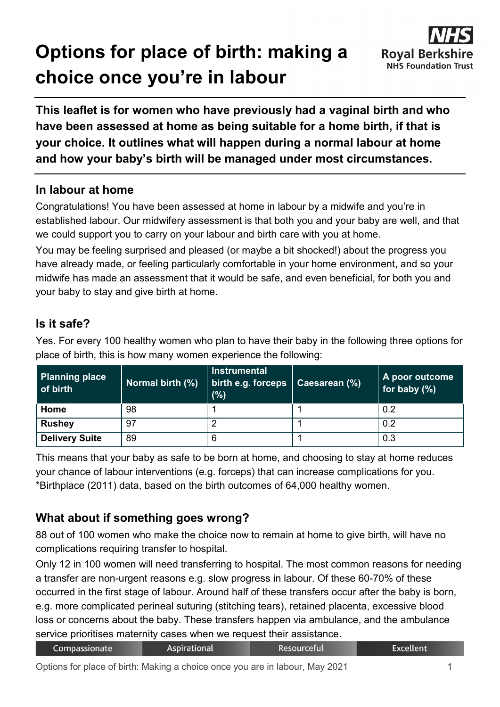# **Options for place of birth: making a choice once you're in labour**



**This leaflet is for women who have previously had a vaginal birth and who have been assessed at home as being suitable for a home birth, if that is your choice. It outlines what will happen during a normal labour at home and how your baby's birth will be managed under most circumstances.**

# **In labour at home**

Congratulations! You have been assessed at home in labour by a midwife and you're in established labour. Our midwifery assessment is that both you and your baby are well, and that we could support you to carry on your labour and birth care with you at home.

You may be feeling surprised and pleased (or maybe a bit shocked!) about the progress you have already made, or feeling particularly comfortable in your home environment, and so your midwife has made an assessment that it would be safe, and even beneficial, for both you and your baby to stay and give birth at home.

# **Is it safe?**

Yes. For every 100 healthy women who plan to have their baby in the following three options for place of birth, this is how many women experience the following:

| <b>Planning place</b><br>of birth | Normal birth (%) | <b>Instrumental</b><br>  birth e.g. forceps   Caesarean (%)<br>(% ) | A poor outcome<br>for baby $(\%)$ |
|-----------------------------------|------------------|---------------------------------------------------------------------|-----------------------------------|
| Home                              | 98               |                                                                     | 0.2                               |
| <b>Rushey</b>                     | 97               |                                                                     | 0.2                               |
| <b>Delivery Suite</b>             | 89               | 6                                                                   | 0.3                               |

This means that your baby as safe to be born at home, and choosing to stay at home reduces your chance of labour interventions (e.g. forceps) that can increase complications for you. \*Birthplace (2011) data, based on the birth outcomes of 64,000 healthy women.

# **What about if something goes wrong?**

88 out of 100 women who make the choice now to remain at home to give birth, will have no complications requiring transfer to hospital.

Only 12 in 100 women will need transferring to hospital. The most common reasons for needing a transfer are non-urgent reasons e.g. slow progress in labour. Of these 60-70% of these occurred in the first stage of labour. Around half of these transfers occur after the baby is born, e.g. more complicated perineal suturing (stitching tears), retained placenta, excessive blood loss or concerns about the baby. These transfers happen via ambulance, and the ambulance service prioritises maternity cases when we request their assistance.

| Compassionate | <b>Aspirational</b> | <b>Resourceful</b> | Excellent <sup>1</sup> |
|---------------|---------------------|--------------------|------------------------|
|---------------|---------------------|--------------------|------------------------|